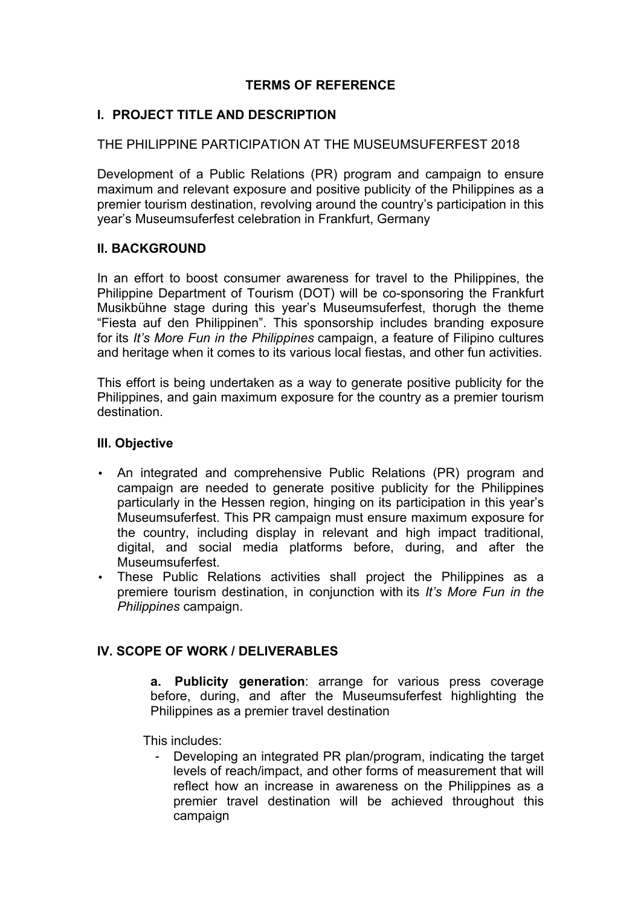# **TERMS OF REFERENCE**

## **I. PROJECT TITLE AND DESCRIPTION**

### THE PHILIPPINE PARTICIPATION AT THE MUSEUMSUFERFEST 2018

Development of a Public Relations (PR) program and campaign to ensure maximum and relevant exposure and positive publicity of the Philippines as a premier tourism destination, revolving around the country's participation in this year's Museumsuferfest celebration in Frankfurt, Germany

#### **II. BACKGROUND**

In an effort to boost consumer awareness for travel to the Philippines, the Philippine Department of Tourism (DOT) will be co-sponsoring the Frankfurt Musikbühne stage during this year's Museumsuferfest, thorugh the theme "Fiesta auf den Philippinen". This sponsorship includes branding exposure for its *It's More Fun in the Philippines* campaign, a feature of Filipino cultures and heritage when it comes to its various local fiestas, and other fun activities.

This effort is being undertaken as a way to generate positive publicity for the Philippines, and gain maximum exposure for the country as a premier tourism destination.

#### **III. Objective**

- An integrated and comprehensive Public Relations (PR) program and campaign are needed to generate positive publicity for the Philippines particularly in the Hessen region, hinging on its participation in this year's Museumsuferfest. This PR campaign must ensure maximum exposure for the country, including display in relevant and high impact traditional, digital, and social media platforms before, during, and after the Museumsuferfest.
- These Public Relations activities shall project the Philippines as a premiere tourism destination, in conjunction with its *It's More Fun in the Philippines* campaign.

## **IV. SCOPE OF WORK / DELIVERABLES**

**a. Publicity generation**: arrange for various press coverage before, during, and after the Museumsuferfest highlighting the Philippines as a premier travel destination

This includes:

- Developing an integrated PR plan/program, indicating the target levels of reach/impact, and other forms of measurement that will reflect how an increase in awareness on the Philippines as a premier travel destination will be achieved throughout this campaign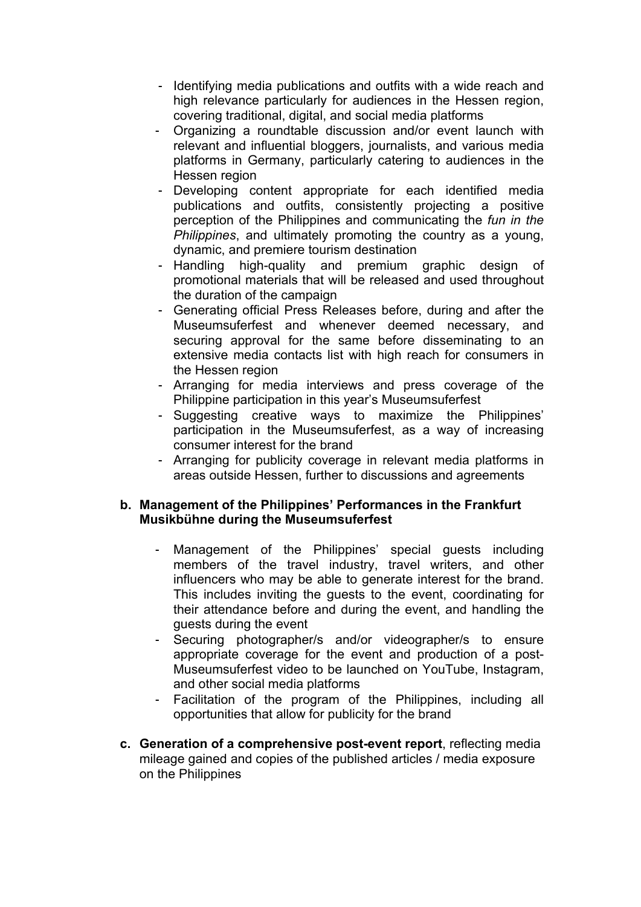- Identifying media publications and outfits with a wide reach and high relevance particularly for audiences in the Hessen region, covering traditional, digital, and social media platforms
- Organizing a roundtable discussion and/or event launch with relevant and influential bloggers, journalists, and various media platforms in Germany, particularly catering to audiences in the Hessen region
- Developing content appropriate for each identified media publications and outfits, consistently projecting a positive perception of the Philippines and communicating the *fun in the Philippines*, and ultimately promoting the country as a young, dynamic, and premiere tourism destination
- Handling high-quality and premium graphic design of promotional materials that will be released and used throughout the duration of the campaign
- Generating official Press Releases before, during and after the Museumsuferfest and whenever deemed necessary, and securing approval for the same before disseminating to an extensive media contacts list with high reach for consumers in the Hessen region
- Arranging for media interviews and press coverage of the Philippine participation in this year's Museumsuferfest
- Suggesting creative ways to maximize the Philippines' participation in the Museumsuferfest, as a way of increasing consumer interest for the brand
- Arranging for publicity coverage in relevant media platforms in areas outside Hessen, further to discussions and agreements

#### **b. Management of the Philippines' Performances in the Frankfurt Musikbühne during the Museumsuferfest**

- Management of the Philippines' special guests including members of the travel industry, travel writers, and other influencers who may be able to generate interest for the brand. This includes inviting the guests to the event, coordinating for their attendance before and during the event, and handling the guests during the event
- Securing photographer/s and/or videographer/s to ensure appropriate coverage for the event and production of a post-Museumsuferfest video to be launched on YouTube, Instagram, and other social media platforms
- Facilitation of the program of the Philippines, including all opportunities that allow for publicity for the brand
- **c. Generation of a comprehensive post-event report**, reflecting media mileage gained and copies of the published articles / media exposure on the Philippines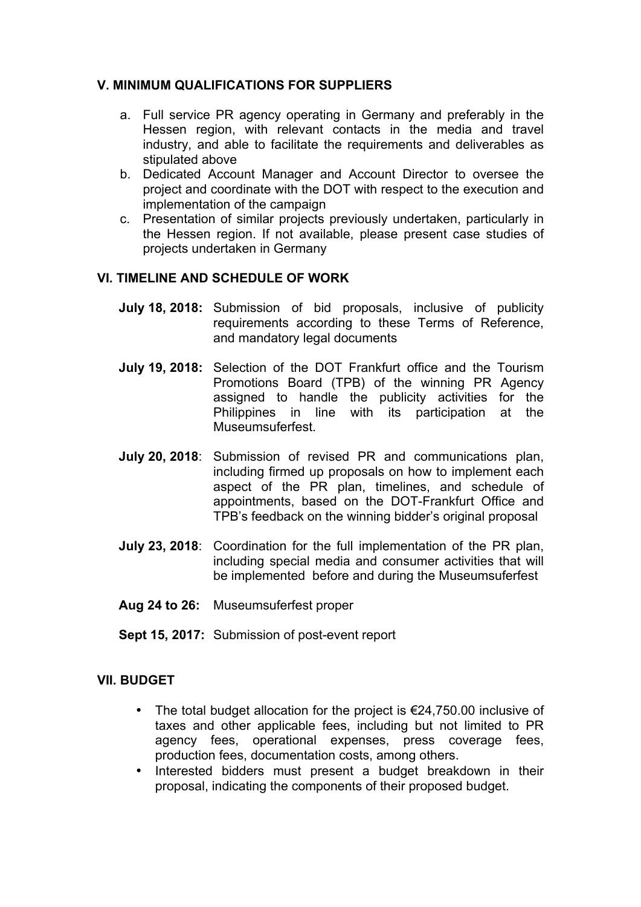### **V. MINIMUM QUALIFICATIONS FOR SUPPLIERS**

- a. Full service PR agency operating in Germany and preferably in the Hessen region, with relevant contacts in the media and travel industry, and able to facilitate the requirements and deliverables as stipulated above
- b. Dedicated Account Manager and Account Director to oversee the project and coordinate with the DOT with respect to the execution and implementation of the campaign
- c. Presentation of similar projects previously undertaken, particularly in the Hessen region. If not available, please present case studies of projects undertaken in Germany

#### **VI. TIMELINE AND SCHEDULE OF WORK**

- **July 18, 2018:** Submission of bid proposals, inclusive of publicity requirements according to these Terms of Reference, and mandatory legal documents
- **July 19, 2018:** Selection of the DOT Frankfurt office and the Tourism Promotions Board (TPB) of the winning PR Agency assigned to handle the publicity activities for the Philippines in line with its participation at the Museumsuferfest.
- **July 20, 2018**: Submission of revised PR and communications plan, including firmed up proposals on how to implement each aspect of the PR plan, timelines, and schedule of appointments, based on the DOT-Frankfurt Office and TPB's feedback on the winning bidder's original proposal
- **July 23, 2018**: Coordination for the full implementation of the PR plan, including special media and consumer activities that will be implemented before and during the Museumsuferfest
- **Aug 24 to 26:** Museumsuferfest proper
- **Sept 15, 2017:** Submission of post-event report

#### **VII. BUDGET**

- The total budget allocation for the project is  $\epsilon$ 24,750.00 inclusive of taxes and other applicable fees, including but not limited to PR agency fees, operational expenses, press coverage fees, production fees, documentation costs, among others.
- Interested bidders must present a budget breakdown in their proposal, indicating the components of their proposed budget.